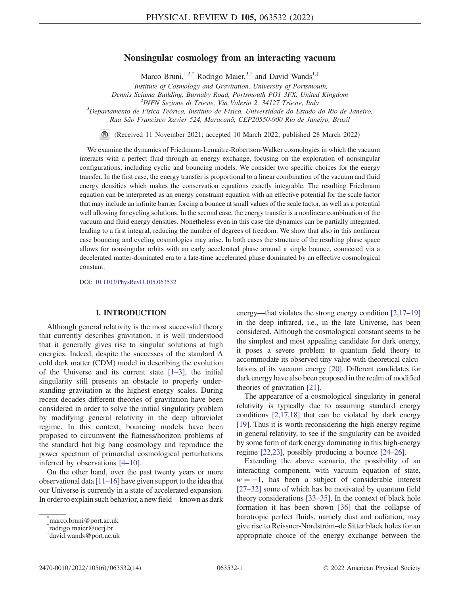# Nonsingular cosmology from an interacting vacuum

Marco Bruni,<sup>1,[2,\\*](#page-0-0)</sup> Rodrigo Maier,<sup>3,[†](#page-0-1)</sup> and David Wands<sup>1,[‡](#page-0-2)</sup>

 $<sup>1</sup>$ Institute of Cosmology and Gravitation, University of Portsmouth,</sup> Dennis Sciama Building, Burnaby Road, Portsmouth PO1 3FX, United Kingdom <sup>2</sup>  $2$ INFN Sezione di Trieste, Via Valerio 2, 34127 Trieste, Italy

<span id="page-0-3"></span> $\beta$ Departamento de Física Teórica, Instituto de Física, Universidade do Estado do Rio de Janeiro, Rua São Francisco Xavier 524, Maracanã, CEP20550-900 Rio de Janeiro, Brazil

(Received 11 November 2021; accepted 10 March 2022; published 28 March 2022)

We examine the dynamics of Friedmann-Lemaitre-Robertson-Walker cosmologies in which the vacuum interacts with a perfect fluid through an energy exchange, focusing on the exploration of nonsingular configurations, including cyclic and bouncing models. We consider two specific choices for the energy transfer. In the first case, the energy transfer is proportional to a linear combination of the vacuum and fluid energy densities which makes the conservation equations exactly integrable. The resulting Friedmann equation can be interpreted as an energy constraint equation with an effective potential for the scale factor that may include an infinite barrier forcing a bounce at small values of the scale factor, as well as a potential well allowing for cycling solutions. In the second case, the energy transfer is a nonlinear combination of the vacuum and fluid energy densities. Nonetheless even in this case the dynamics can be partially integrated, leading to a first integral, reducing the number of degrees of freedom. We show that also in this nonlinear case bouncing and cycling cosmologies may arise. In both cases the structure of the resulting phase space allows for nonsingular orbits with an early accelerated phase around a single bounce, connected via a decelerated matter-dominated era to a late-time accelerated phase dominated by an effective cosmological constant.

DOI: [10.1103/PhysRevD.105.063532](https://doi.org/10.1103/PhysRevD.105.063532)

## I. INTRODUCTION

Although general relativity is the most successful theory that currently describes gravitation, it is well understood that it generally gives rise to singular solutions at high energies. Indeed, despite the successes of the standard  $\Lambda$ cold dark matter (CDM) model in describing the evolution of the Universe and its current state  $[1-3]$  $[1-3]$  $[1-3]$ , the initial singularity still presents an obstacle to properly understanding gravitation at the highest energy scales. During recent decades different theories of gravitation have been considered in order to solve the initial singularity problem by modifying general relativity in the deep ultraviolet regime. In this context, bouncing models have been proposed to circumvent the flatness/horizon problems of the standard hot big bang cosmology and reproduce the power spectrum of primordial cosmological perturbations inferred by observations [[4](#page-12-2)–[10\]](#page-12-3).

On the other hand, over the past twenty years or more observational data  $[11–16]$  $[11–16]$  $[11–16]$  $[11–16]$  have given support to the idea that our Universe is currently in a state of accelerated expansion. In order to explain such behavior, a new field—known as dark energy—that violates the strong energy condition [\[2](#page-12-6)[,17](#page-12-7)–[19\]](#page-12-8) in the deep infrared, i.e., in the late Universe, has been considered. Although the cosmological constant seems to be the simplest and most appealing candidate for dark energy, it poses a severe problem to quantum field theory to accommodate its observed tiny value with theoretical calculations of its vacuum energy [\[20\]](#page-12-9). Different candidates for dark energy have also been proposed in the realm of modified theories of gravitation [[21\]](#page-12-10).

The appearance of a cosmological singularity in general relativity is typically due to assuming standard energy conditions [\[2,](#page-12-6)[17](#page-12-7),[18](#page-12-11)] that can be violated by dark energy [\[19\]](#page-12-8). Thus it is worth reconsidering the high-energy regime in general relativity, to see if the singularity can be avoided by some form of dark energy dominating in this high-energy regime [\[22](#page-12-12),[23\]](#page-12-13), possibly producing a bounce [[24](#page-12-14)–[26](#page-12-15)].

Extending the above scenario, the possibility of an interacting component, with vacuum equation of state,  $w = -1$ , has been a subject of considerable interest [\[27](#page-12-16)–[32\]](#page-12-17) some of which has be motivated by quantum field theory considerations [\[33](#page-12-18)–[35\]](#page-12-19). In the context of black hole formation it has been shown [\[36\]](#page-12-20) that the collapse of barotropic perfect fluids, namely dust and radiation, may give rise to Reissner-Nordström–de Sitter black holes for an appropriate choice of the energy exchange between the

<span id="page-0-0"></span>[<sup>\\*</sup>](#page-0-3) marco.bruni@port.ac.uk

<span id="page-0-1"></span>[<sup>†</sup>](#page-0-3) rodrigo.maier@uerj.br

<span id="page-0-2"></span>[<sup>‡</sup>](#page-0-3) david.wands@port.ac.uk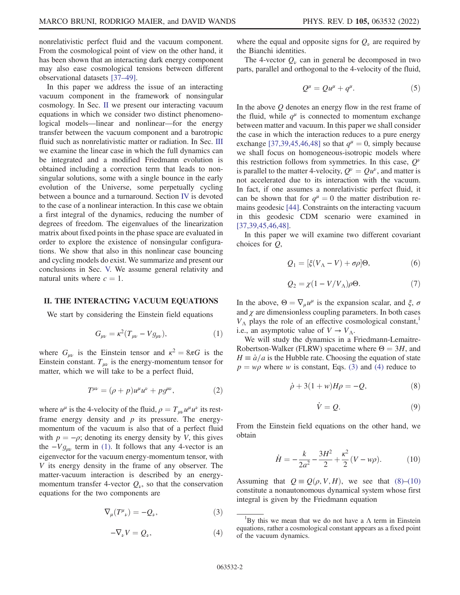nonrelativistic perfect fluid and the vacuum component. From the cosmological point of view on the other hand, it has been shown that an interacting dark energy component may also ease cosmological tensions between different observational datasets [\[37](#page-12-21)–[49](#page-13-0)].

In this paper we address the issue of an interacting vacuum component in the framework of nonsingular cosmology. In Sec. [II](#page-1-0) we present our interacting vacuum equations in which we consider two distinct phenomenological models—linear and nonlinear—for the energy transfer between the vacuum component and a barotropic fluid such as nonrelativistic matter or radiation. In Sec. [III](#page-2-0) we examine the linear case in which the full dynamics can be integrated and a modified Friedmann evolution is obtained including a correction term that leads to nonsingular solutions, some with a single bounce in the early evolution of the Universe, some perpetually cycling between a bounce and a turnaround. Section [IV](#page-6-0) is devoted to the case of a nonlinear interaction. In this case we obtain a first integral of the dynamics, reducing the number of degrees of freedom. The eigenvalues of the linearization matrix about fixed points in the phase space are evaluated in order to explore the existence of nonsingular configurations. We show that also in this nonlinear case bouncing and cycling models do exist. We summarize and present our conclusions in Sec. [V.](#page-10-0) We assume general relativity and natural units where  $c = 1$ .

## <span id="page-1-1"></span><span id="page-1-0"></span>II. THE INTERACTING VACUUM EQUATIONS

We start by considering the Einstein field equations

$$
G_{\mu\nu} = \kappa^2 (T_{\mu\nu} - V g_{\mu\nu}), \tag{1}
$$

where  $G_{\mu\nu}$  is the Einstein tensor and  $\kappa^2 = 8\pi G$  is the Einstein constant.  $T_{\mu\nu}$  is the energy-momentum tensor for matter, which we will take to be a perfect fluid,

$$
T^{\mu\nu} = (\rho + p)u^{\mu}u^{\nu} + pg^{\mu\nu}, \qquad (2)
$$

<span id="page-1-2"></span>where  $u^{\mu}$  is the 4-velocity of the fluid,  $\rho = T_{\mu\nu}u^{\mu}u^{\nu}$  its restframe energy density and  $p$  its pressure. The energymomentum of the vacuum is also that of a perfect fluid with  $p = -\rho$ ; denoting its energy density by V, this gives the  $-Vg_{\mu\nu}$  term in [\(1\)](#page-1-1). It follows that any 4-vector is an eigenvector for the vacuum energy-momentum tensor, with V its energy density in the frame of any observer. The matter-vacuum interaction is described by an energymomentum transfer 4-vector  $Q_{\nu}$ , so that the conservation equations for the two components are

<span id="page-1-3"></span>
$$
\nabla_{\mu}(T^{\mu}_{\ \nu}) = -Q_{\nu}, \tag{3}
$$

$$
-\nabla_{\nu}V = Q_{\nu},\tag{4}
$$

where the equal and opposite signs for  $Q_{\nu}$  are required by the Bianchi identities.

The 4-vector  $Q_{\nu}$  can in general be decomposed in two parts, parallel and orthogonal to the 4-velocity of the fluid,

$$
Q^{\mu} = Q u^{\mu} + q^{\mu}.
$$
 (5)

In the above Q denotes an energy flow in the rest frame of the fluid, while  $q^{\mu}$  is connected to momentum exchange between matter and vacuum. In this paper we shall consider the case in which the interaction reduces to a pure energy exchange [[37](#page-12-21),[39](#page-12-22),[45](#page-13-1),[46](#page-13-2)[,48\]](#page-13-3) so that  $q^{\mu} = 0$ , simply because we shall focus on homogeneous-isotropic models where this restriction follows from symmetries. In this case,  $Q^{\nu}$ is parallel to the matter 4-velocity,  $Q^{\nu} = Q u^{\nu}$ , and matter is not accelerated due to its interaction with the vacuum. In fact, if one assumes a nonrelativistic perfect fluid, it can be shown that for  $q^{\mu} = 0$  the matter distribution remains geodesic [\[44\]](#page-13-4). Constraints on the interacting vacuum in this geodesic CDM scenario were examined in [\[37](#page-12-21)[,39,](#page-12-22)[45](#page-13-1),[46](#page-13-2),[48](#page-13-3)].

<span id="page-1-7"></span>In this paper we will examine two different covariant choices for Q,

$$
Q_1 = [\xi(V_\Lambda - V) + \sigma \rho] \Theta,\tag{6}
$$

$$
Q_2 = \chi(1 - V/V_\Lambda)\rho\Theta. \tag{7}
$$

<span id="page-1-8"></span>In the above,  $\Theta = \nabla_{\mu} u^{\mu}$  is the expansion scalar, and  $\xi$ ,  $\sigma$ and  $\chi$  are dimensionless coupling parameters. In both cases  $V_{\Lambda}$  plays the role of an effective cosmological constant, i.e., an asymptotic value of  $V \to V_A$ .

<span id="page-1-4"></span>We will study the dynamics in a Friedmann-Lemaitre-Robertson-Walker (FLRW) spacetime where  $\Theta = 3H$ , and  $H = \dot{a}/a$  is the Hubble rate. Choosing the equation of state  $p = w\rho$  where w is constant, Eqs. [\(3\)](#page-1-2) and [\(4\)](#page-1-3) reduce to

$$
\dot{\rho} + 3(1+w)H\rho = -Q,\tag{8}
$$

$$
\dot{V} = Q. \tag{9}
$$

<span id="page-1-9"></span><span id="page-1-5"></span>From the Einstein field equations on the other hand, we obtain

$$
\dot{H} = -\frac{k}{2a^2} - \frac{3H^2}{2} + \frac{\kappa^2}{2}(V - w\rho). \tag{10}
$$

<span id="page-1-6"></span>Assuming that  $Q = Q(\rho, V, H)$ , we see that [\(8\)](#page-1-4)–[\(10\)](#page-1-5) constitute a nonautonomous dynamical system whose first integral is given by the Friedmann equation

<sup>&</sup>lt;sup>1</sup>By this we mean that we do not have a  $\Lambda$  term in Einstein equations, rather a cosmological constant appears as a fixed point of the vacuum dynamics.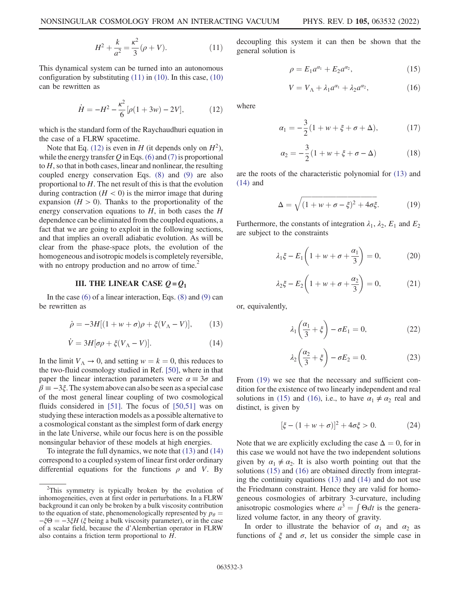$$
H^2 + \frac{k}{a^2} = \frac{\kappa^2}{3} (\rho + V). \tag{11}
$$

<span id="page-2-1"></span>This dynamical system can be turned into an autonomous configuration by substituting  $(11)$  in  $(10)$ . In this case,  $(10)$ can be rewritten as

$$
\dot{H} = -H^2 - \frac{\kappa^2}{6} [\rho (1 + 3w) - 2V],\tag{12}
$$

which is the standard form of the Raychaudhuri equation in the case of a FLRW spacetime.

Note that Eq. [\(12\)](#page-2-1) is even in H (it depends only on  $H^2$ ), while the energy transfer  $Q$  in Eqs. [\(6\)](#page-1-7) and [\(7\)](#page-1-8) is proportional to H, so that in both cases, linear and nonlinear, the resulting coupled energy conservation Eqs. [\(8\)](#page-1-4) and [\(9\)](#page-1-9) are also proportional to  $H$ . The net result of this is that the evolution during contraction  $(H < 0)$  is the mirror image that during expansion  $(H > 0)$ . Thanks to the proportionality of the energy conservation equations to  $H$ , in both cases the  $H$ dependence can be eliminated from the coupled equations, a fact that we are going to exploit in the following sections, and that implies an overall adiabatic evolution. As will be clear from the phase-space plots, the evolution of the homogeneous and isotropic models is completely reversible, with no entropy production and no arrow of time. $\sim$ 

## III. THE LINEAR CASE  $Q = Q_1$

<span id="page-2-2"></span><span id="page-2-0"></span>In the case  $(6)$  of a linear interaction, Eqs.  $(8)$  and  $(9)$  can be rewritten as

$$
\dot{\rho} = -3H[(1+w+\sigma)\rho + \xi(V_{\Lambda} - V)],\qquad(13)
$$

$$
\dot{V} = 3H[\sigma \rho + \xi (V_{\Lambda} - V)]. \tag{14}
$$

<span id="page-2-3"></span>In the limit  $V_A \rightarrow 0$ , and setting  $w = k = 0$ , this reduces to the two-fluid cosmology studied in Ref. [[50](#page-13-5)], where in that paper the linear interaction parameters were  $\alpha \equiv 3\sigma$  and  $\beta = -3\xi$ . The system above can also be seen as a special case of the most general linear coupling of two cosmological fluids considered in [[51](#page-13-6)]. The focus of [[50](#page-13-5),[51](#page-13-6)] was on studying these interaction models as a possible alternative to a cosmological constant as the simplest form of dark energy in the late Universe, while our focus here is on the possible nonsingular behavior of these models at high energies.

To integrate the full dynamics, we note that [\(13\)](#page-2-2) and [\(14\)](#page-2-3) correspond to a coupled system of linear first order ordinary differential equations for the functions  $\rho$  and V. By <span id="page-2-5"></span>decoupling this system it can then be shown that the general solution is

$$
\rho = E_1 a^{\alpha_1} + E_2 a^{\alpha_2},\tag{15}
$$

$$
V = V_{\Lambda} + \lambda_1 a^{\alpha_1} + \lambda_2 a^{\alpha_2}, \qquad (16)
$$

<span id="page-2-7"></span><span id="page-2-6"></span>where

$$
\alpha_1 = -\frac{3}{2}(1 + w + \xi + \sigma + \Delta), \tag{17}
$$

$$
\alpha_2 = -\frac{3}{2}(1 + w + \xi + \sigma - \Delta)
$$
 (18)

<span id="page-2-8"></span><span id="page-2-4"></span>are the roots of the characteristic polynomial for [\(13\)](#page-2-2) and [\(14\)](#page-2-3) and

$$
\Delta = \sqrt{(1 + w + \sigma - \xi)^2 + 4\sigma\xi}.\tag{19}
$$

<span id="page-2-9"></span>Furthermore, the constants of integration  $\lambda_1$ ,  $\lambda_2$ ,  $E_1$  and  $E_2$ are subject to the constraints

$$
\lambda_1 \xi - E_1 \left( 1 + w + \sigma + \frac{\alpha_1}{3} \right) = 0, \tag{20}
$$

$$
\lambda_2 \xi - E_2 \left( 1 + w + \sigma + \frac{\alpha_2}{3} \right) = 0, \tag{21}
$$

<span id="page-2-12"></span><span id="page-2-11"></span><span id="page-2-10"></span>or, equivalently,

$$
\lambda_1 \left( \frac{\alpha_1}{3} + \xi \right) - \sigma E_1 = 0, \tag{22}
$$

$$
\lambda_2 \left( \frac{\alpha_2}{3} + \xi \right) - \sigma E_2 = 0. \tag{23}
$$

From  $(19)$  we see that the necessary and sufficient condition for the existence of two linearly independent and real solutions in [\(15\)](#page-2-5) and [\(16\),](#page-2-6) i.e., to have  $\alpha_1 \neq \alpha_2$  real and distinct, is given by

$$
[\xi - (1 + w + \sigma)]^2 + 4\sigma\xi > 0.
$$
 (24)

Note that we are explicitly excluding the case  $\Delta = 0$ , for in this case we would not have the two independent solutions given by  $\alpha_1 \neq \alpha_2$ . It is also worth pointing out that the solutions [\(15\)](#page-2-5) and [\(16\)](#page-2-6) are obtained directly from integrating the continuity equations [\(13\)](#page-2-2) and [\(14\)](#page-2-3) and do not use the Friedmann constraint. Hence they are valid for homogeneous cosmologies of arbitrary 3-curvature, including anisotropic cosmologies where  $a^3 = \int \Theta dt$  is the generalized volume factor, in any theory of gravity.

In order to illustrate the behavior of  $\alpha_1$  and  $\alpha_2$  as functions of  $\xi$  and  $\sigma$ , let us consider the simple case in

<sup>&</sup>lt;sup>2</sup>This symmetry is typically broken by the evolution of inhomogeneities, even at first order in perturbations. In a FLRW background it can only be broken by a bulk viscosity contribution to the equation of state, phenomenologically represented by  $p_{\theta} =$  $-\xi\Theta = -3\xi H$  (ξ being a bulk viscosity parameter), or in the case of a scalar field, because the d'Alembertian operator in FLRW also contains a friction term proportional to  $H$ .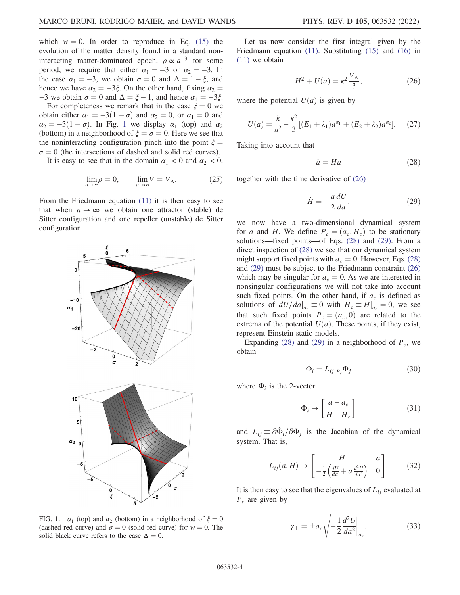which  $w = 0$ . In order to reproduce in Eq. [\(15\)](#page-2-5) the evolution of the matter density found in a standard noninteracting matter-dominated epoch,  $\rho \propto a^{-3}$  for some period, we require that either  $\alpha_1 = -3$  or  $\alpha_2 = -3$ . In the case  $\alpha_1 = -3$ , we obtain  $\sigma = 0$  and  $\Delta = 1 - \xi$ , and hence we have  $\alpha_2 = -3\xi$ . On the other hand, fixing  $\alpha_2 =$ −3 we obtain  $\sigma = 0$  and  $\Delta = \xi - 1$ , and hence  $\alpha_1 = -3\xi$ .

For completeness we remark that in the case  $\xi = 0$  we obtain either  $\alpha_1 = -3(1 + \sigma)$  and  $\alpha_2 = 0$ , or  $\alpha_1 = 0$  and  $\alpha_2 = -3(1 + \sigma)$  $\alpha_2 = -3(1 + \sigma)$  $\alpha_2 = -3(1 + \sigma)$ . In Fig. 1 we display  $\alpha_1$  (top) and  $\alpha_2$ (bottom) in a neighborhood of  $\xi = \sigma = 0$ . Here we see that the noninteracting configuration pinch into the point  $\xi =$  $\sigma = 0$  (the intersections of dashed and solid red curves).

It is easy to see that in the domain  $\alpha_1 < 0$  and  $\alpha_2 < 0$ ,

$$
\lim_{a \to \infty} \rho = 0, \qquad \lim_{a \to \infty} V = V_{\Lambda}.
$$
 (25)

From the Friedmann equation [\(11\)](#page-1-6) it is then easy to see that when  $a \rightarrow \infty$  we obtain one attractor (stable) de Sitter configuration and one repeller (unstable) de Sitter configuration.

<span id="page-3-0"></span>

FIG. 1.  $\alpha_1$  (top) and  $\alpha_2$  (bottom) in a neighborhood of  $\xi = 0$ (dashed red curve) and  $\sigma = 0$  (solid red curve) for  $w = 0$ . The solid black curve refers to the case  $\Delta = 0$ .

<span id="page-3-1"></span>Let us now consider the first integral given by the Friedmann equation [\(11\)](#page-1-6). Substituting [\(15\)](#page-2-5) and [\(16\)](#page-2-6) in [\(11\)](#page-1-6) we obtain

$$
H^2 + U(a) = \kappa^2 \frac{V_{\Lambda}}{3},
$$
 (26)

<span id="page-3-4"></span>where the potential  $U(a)$  is given by

$$
U(a) = \frac{k}{a^2} - \frac{\kappa^2}{3} \left[ (E_1 + \lambda_1) a^{\alpha_1} + (E_2 + \lambda_2) a^{\alpha_2} \right].
$$
 (27)

<span id="page-3-2"></span>Taking into account that

$$
\dot{a} = Ha \tag{28}
$$

<span id="page-3-3"></span>together with the time derivative of [\(26\)](#page-3-1)

$$
\dot{H} = -\frac{a}{2}\frac{dU}{da},\qquad(29)
$$

we now have a two-dimensional dynamical system for a and H. We define  $P_c = (a_c, H_c)$  to be stationary solutions—fixed points—of Eqs. [\(28\)](#page-3-2) and [\(29\).](#page-3-3) From a direct inspection of [\(28\)](#page-3-2) we see that our dynamical system might support fixed points with  $a_c = 0$ . However, Eqs. [\(28\)](#page-3-2) and [\(29\)](#page-3-3) must be subject to the Friedmann constraint [\(26\)](#page-3-1) which may be singular for  $a_c = 0$ . As we are interested in nonsingular configurations we will not take into account such fixed points. On the other hand, if  $a_c$  is defined as solutions of  $dU/da|_{a_c} \equiv 0$  with  $H_c \equiv H|_{a_c} = 0$ , we see that such fixed points  $P_c = (a_c, 0)$  are related to the extrema of the potential  $U(a)$ . These points, if they exist, represent Einstein static models.

Expanding [\(28\)](#page-3-2) and [\(29\)](#page-3-3) in a neighborhood of  $P_c$ , we obtain

$$
\dot{\Phi}_i = L_{ij}|_{P_c} \Phi_j \tag{30}
$$

<span id="page-3-5"></span>where  $\Phi_i$  is the 2-vector

$$
\Phi_i \to \begin{bmatrix} a - a_c \\ H - H_c \end{bmatrix} \tag{31}
$$

and  $L_{ij} \equiv \partial \Phi_i / \partial \Phi_j$  is the Jacobian of the dynamical system. That is,

$$
L_{ij}(a,H) \rightarrow \begin{bmatrix} H & a \\ -\frac{1}{2} \left( \frac{dU}{da} + a \frac{d^2U}{da^2} \right) & 0 \end{bmatrix}.
$$
 (32)

It is then easy to see that the eigenvalues of  $L_{ij}$  evaluated at  $P_c$  are given by

$$
\gamma_{\pm} = \pm a_c \sqrt{-\frac{1}{2} \frac{d^2 U}{da^2} \bigg|_{a_c}}.
$$
\n(33)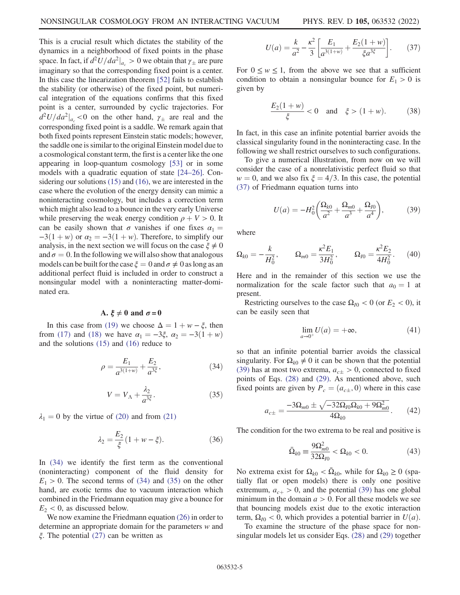This is a crucial result which dictates the stability of the dynamics in a neighborhood of fixed points in the phase space. In fact, if  $d^2U/da^2|_{a_c} > 0$  we obtain that  $\gamma_{\pm}$  are pure imaginary so that the corresponding fixed point is a center. In this case the linearization theorem [\[52\]](#page-13-7) fails to establish the stability (or otherwise) of the fixed point, but numerical integration of the equations confirms that this fixed point is a center, surrounded by cyclic trajectories. For  $d^2U/da^2|_{a_c}$  < 0 on the other hand,  $\gamma_{\pm}$  are real and the corresponding fixed point is a saddle. We remark again that both fixed points represent Einstein static models; however, the saddle one is similar to the original Einstein model due to a cosmological constant term, the first is a center like the one appearing in loop-quantum cosmology [\[53\]](#page-13-8) or in some models with a quadratic equation of state [[24](#page-12-14)–[26](#page-12-15)]. Considering our solutions [\(15\)](#page-2-5) and [\(16\),](#page-2-6) we are interested in the case where the evolution of the energy density can mimic a noninteracting cosmology, but includes a correction term which might also lead to a bounce in the very early Universe while preserving the weak energy condition  $\rho + V > 0$ . It can be easily shown that  $\sigma$  vanishes if one fixes  $\alpha_1 =$  $-3(1 + w)$  or  $\alpha_2 = -3(1 + w)$ . Therefore, to simplify our analysis, in the next section we will focus on the case  $\xi \neq 0$ and  $\sigma = 0$ . In the following we will also show that analogous models can be built for the case  $\xi = 0$  and  $\sigma \neq 0$  as long as an additional perfect fluid is included in order to construct a nonsingular model with a noninteracting matter-dominated era.

## A.  $\xi \neq 0$  and  $\sigma = 0$

<span id="page-4-0"></span>In this case from [\(19\)](#page-2-4) we choose  $\Delta = 1 + w - \xi$ , then from [\(17\)](#page-2-7) and [\(18\)](#page-2-8) we have  $\alpha_1 = -3\xi$ ,  $\alpha_2 = -3(1 + w)$ and the solutions [\(15\)](#page-2-5) and [\(16\)](#page-2-6) reduce to

$$
\rho = \frac{E_1}{a^{3(1+w)}} + \frac{E_2}{a^{3\xi}},\tag{34}
$$

$$
V = V_{\Lambda} + \frac{\lambda_2}{a^{3\xi}}.
$$
 (35)

<span id="page-4-1"></span> $\lambda_1 = 0$  by the virtue of [\(20\)](#page-2-9) and from [\(21\)](#page-2-10)

$$
\lambda_2 = \frac{E_2}{\xi} (1 + w - \xi). \tag{36}
$$

In [\(34\)](#page-4-0) we identify the first term as the conventional (noninteracting) component of the fluid density for  $E_1 > 0$ . The second terms of [\(34\)](#page-4-0) and [\(35\)](#page-4-1) on the other hand, are exotic terms due to vacuum interaction which combined in the Friedmann equation may give a bounce for  $E_2$  < 0, as discussed below.

<span id="page-4-2"></span>We now examine the Friedmann equation [\(26\)](#page-3-1) in order to determine an appropriate domain for the parameters w and ξ. The potential [\(27\)](#page-3-4) can be written as

$$
U(a) = \frac{k}{a^2} - \frac{\kappa^2}{3} \left[ \frac{E_1}{a^{3(1+w)}} + \frac{E_2(1+w)}{\xi a^{3\xi}} \right].
$$
 (37)

For  $0 \le w \le 1$ , from the above we see that a sufficient condition to obtain a nonsingular bounce for  $E_1 > 0$  is given by

$$
\frac{E_2(1+w)}{\xi} < 0 \quad \text{and} \quad \xi > (1+w). \tag{38}
$$

In fact, in this case an infinite potential barrier avoids the classical singularity found in the noninteracting case. In the following we shall restrict ourselves to such configurations.

<span id="page-4-3"></span>To give a numerical illustration, from now on we will consider the case of a nonrelativistic perfect fluid so that  $w = 0$ , and we also fix  $\xi = 4/3$ . In this case, the potential [\(37\)](#page-4-2) of Friedmann equation turns into

$$
U(a) = -H_0^2 \left( \frac{\Omega_{k0}}{a^2} + \frac{\Omega_{m0}}{a^3} + \frac{\Omega_{I0}}{a^4} \right),\tag{39}
$$

where

$$
\Omega_{k0} = -\frac{k}{H_0^2}, \qquad \Omega_{m0} = \frac{\kappa^2 E_1}{3H_0^2}, \qquad \Omega_{l0} = \frac{\kappa^2 E_2}{4H_0^2}.
$$
 (40)

Here and in the remainder of this section we use the normalization for the scale factor such that  $a_0 = 1$  at present.

Restricting ourselves to the case  $\Omega_{I0} < 0$  (or  $E_2 < 0$ ), it can be easily seen that

$$
\lim_{a \to 0^+} U(a) = +\infty, \tag{41}
$$

<span id="page-4-4"></span>so that an infinite potential barrier avoids the classical singularity. For  $\Omega_{k0} \neq 0$  it can be shown that the potential [\(39\)](#page-4-3) has at most two extrema,  $a_{c+} > 0$ , connected to fixed points of Eqs. [\(28\)](#page-3-2) and [\(29\)](#page-3-3). As mentioned above, such fixed points are given by  $P_c = (a_{c\pm}, 0)$  where in this case

$$
a_{c\pm} = \frac{-3\Omega_{m0} \pm \sqrt{-32\Omega_{I0}\Omega_{k0} + 9\Omega_{m0}^2}}{4\Omega_{k0}}.
$$
 (42)

The condition for the two extrema to be real and positive is

$$
\bar{\Omega}_{k0} \equiv \frac{9\Omega_{m0}^2}{32\Omega_{I0}} < \Omega_{k0} < 0. \tag{43}
$$

No extrema exist for  $\Omega_{k0} < \overline{\Omega}_{k0}$ , while for  $\Omega_{k0} \ge 0$  (spatially flat or open models) there is only one positive extremum,  $a_{c+} > 0$ , and the potential [\(39\)](#page-4-3) has one global minimum in the domain  $a > 0$ . For all these models we see that bouncing models exist due to the exotic interaction term,  $\Omega_{I0}$  < 0, which provides a potential barrier in  $U(a)$ .

To examine the structure of the phase space for nonsingular models let us consider Eqs. [\(28\)](#page-3-2) and [\(29\)](#page-3-3) together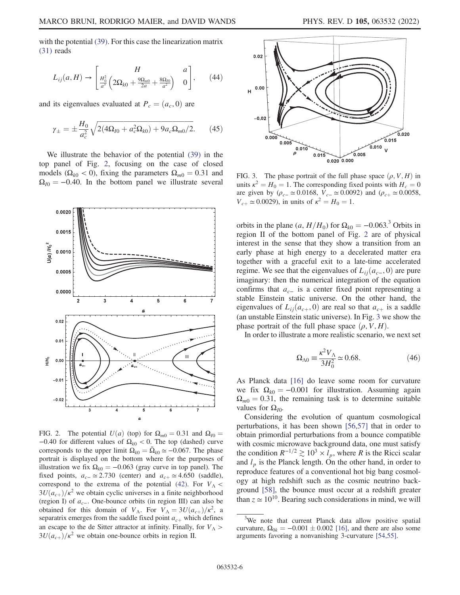with the potential [\(39\)](#page-4-3). For this case the linearization matrix [\(31\)](#page-3-5) reads

$$
L_{ij}(a, H) \to \begin{bmatrix} H & a \\ \frac{H_0^2}{a^3} \left(2\Omega_{k0} + \frac{9\Omega_{m0}}{2a} + \frac{8\Omega_{l0}}{a^2}\right) & 0 \end{bmatrix}, \qquad (44)
$$

and its eigenvalues evaluated at  $P_c = (a_c, 0)$  are

$$
\gamma_{\pm} = \pm \frac{H_0}{a_c^2} \sqrt{2(4\Omega_{I0} + a_c^2 \Omega_{k0}) + 9a_c \Omega_{m0}/2}.
$$
 (45)

We illustrate the behavior of the potential [\(39\)](#page-4-3) in the top panel of Fig. [2,](#page-5-0) focusing on the case of closed models ( $\Omega_{k0}$  < 0), fixing the parameters  $\Omega_{m0} = 0.31$  and  $\Omega_{I0} = -0.40$ . In the bottom panel we illustrate several

<span id="page-5-0"></span>

FIG. 2. The potential  $U(a)$  (top) for  $\Omega_{m0} = 0.31$  and  $\Omega_{I0} =$ −0.40 for different values of  $\Omega_{k0}$  < 0. The top (dashed) curve corresponds to the upper limit  $\Omega_{k0} = \overline{\Omega}_{k0} \simeq -0.067$ . The phase portrait is displayed on the bottom where for the purposes of illustration we fix  $\Omega_{k0} = -0.063$  (gray curve in top panel). The fixed points,  $a_{c-} \approx 2.730$  (center) and  $a_{c+} \approx 4.650$  (saddle), correspond to the extrema of the potential [\(42\)](#page-4-4). For  $V_A$  <  $3U(a_{c+})/\kappa^2$  we obtain cyclic universes in a finite neighborhood (region I) of  $a<sub>c</sub>$ . One-bounce orbits (in region III) can also be obtained for this domain of  $V_A$ . For  $V_A = 3U(a_{c+})/\kappa^2$ , a separatrix emerges from the saddle fixed point  $a_{c+}$  which defines an escape to the de Sitter attractor at infinity. Finally, for  $V_A$  $3U(a_{c+})/\kappa^2$  we obtain one-bounce orbits in region II.

<span id="page-5-1"></span>

FIG. 3. The phase portrait of the full phase space  $(\rho, V, H)$  in units  $\kappa^2 = H_0 = 1$ . The corresponding fixed points with  $H_c = 0$ are given by ( $\rho_{c-} \simeq 0.0168$ ,  $V_{c-} \simeq 0.0092$ ) and ( $\rho_{c+} \simeq 0.0058$ ,  $V_{c+} \simeq 0.0029$ ), in units of  $\kappa^2 = H_0 = 1$ .

orbits in the plane  $(a, H/H_0)$  for  $\Omega_{k0} = -0.063$ .<sup>3</sup> Orbits in region II of the bottom panel of Fig. [2](#page-5-0) are of physical interest in the sense that they show a transition from an early phase at high energy to a decelerated matter era together with a graceful exit to a late-time accelerated regime. We see that the eigenvalues of  $L_{ii}(a_{c-}, 0)$  are pure imaginary: then the numerical integration of the equation confirms that  $a_{c-}$  is a center fixed point representing a stable Einstein static universe. On the other hand, the eigenvalues of  $L_{ii}(a_{c+}, 0)$  are real so that  $a_{c+}$  is a saddle (an unstable Einstein static universe). In Fig. [3](#page-5-1) we show the phase portrait of the full phase space  $(\rho, V, H)$ .

In order to illustrate a more realistic scenario, we next set

$$
\Omega_{\Lambda 0} \equiv \frac{\kappa^2 V_{\Lambda}}{3H_0^2} \simeq 0.68. \tag{46}
$$

As Planck data [\[16\]](#page-12-5) do leave some room for curvature we fix  $\Omega_{k0} = -0.001$  for illustration. Assuming again  $\Omega_{m0} = 0.31$ , the remaining task is to determine suitable values for  $Ω<sub>10</sub>$ .

Considering the evolution of quantum cosmological perturbations, it has been shown [[56](#page-13-9),[57](#page-13-10)] that in order to obtain primordial perturbations from a bounce compatible with cosmic microwave background data, one must satisfy the condition  $R^{-1/2} \gtrsim 10^3 \times l_p$ , where R is the Ricci scalar and  $l_p$  is the Planck length. On the other hand, in order to reproduce features of a conventional hot big bang cosmology at high redshift such as the cosmic neutrino background [\[58\]](#page-13-11), the bounce must occur at a redshift greater than  $z \approx 10^{10}$ . Bearing such considerations in mind, we will

<sup>&</sup>lt;sup>3</sup>We note that current Planck data allow positive spatial curvature,  $\Omega_{0k} = -0.001 \pm 0.002$  [[16](#page-12-5)], and there are also some arguments favoring a nonvanishing 3-curvature [\[54](#page-13-12)[,55\]](#page-13-13).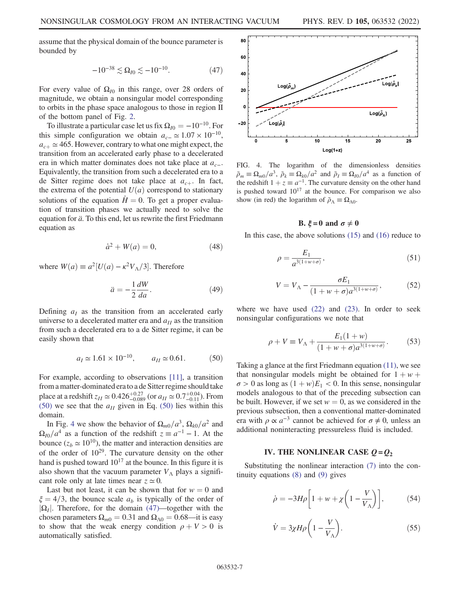<span id="page-6-3"></span>assume that the physical domain of the bounce parameter is bounded by

$$
-10^{-38} \lesssim \Omega_{I0} \lesssim -10^{-10}.\tag{47}
$$

For every value of  $\Omega_{I0}$  in this range, over 28 orders of magnitude, we obtain a nonsingular model corresponding to orbits in the phase space analogous to those in region II of the bottom panel of Fig. [2.](#page-5-0)

To illustrate a particular case let us fix  $\Omega_{I0} = -10^{-10}$ . For this simple configuration we obtain  $a_{c-} \approx 1.07 \times 10^{-10}$ ,  $a_{c+} \simeq 465$ . However, contrary to what one might expect, the transition from an accelerated early phase to a decelerated era in which matter dominates does not take place at  $a_{c-}$ . Equivalently, the transition from such a decelerated era to a de Sitter regime does not take place at  $a_{c+}$ . In fact, the extrema of the potential  $U(a)$  correspond to stationary solutions of the equation  $H = 0$ . To get a proper evaluation of transition phases we actually need to solve the equation for  $\ddot{a}$ . To this end, let us rewrite the first Friedmann equation as

$$
\dot{a}^2 + W(a) = 0,\tag{48}
$$

where  $W(a) \equiv a^2[U(a) - \kappa^2 V_{\Lambda}/3]$ . Therefore

$$
\ddot{a} = -\frac{1}{2} \frac{dW}{da}.
$$
 (49)

<span id="page-6-1"></span>Defining  $a_I$  as the transition from an accelerated early universe to a decelerated matter era and  $a_{II}$  as the transition from such a decelerated era to a de Sitter regime, it can be easily shown that

$$
a_I \approx 1.61 \times 10^{-10}
$$
,  $a_{II} \approx 0.61$ . (50)

For example, according to observations [[11](#page-12-4)], a transition from a matter-dominated era to a de Sitter regime should take place at a redshift  $z_{II} \simeq 0.426^{+0.27}_{-0.089}$  (or  $a_{II} \simeq 0.7^{+0.04}_{-0.11}$ ). From [\(50\)](#page-6-1) we see that the  $a_{II}$  given in Eq. (50) lies within this domain.

In Fig. [4](#page-6-2) we show the behavior of  $\Omega_{m0}/a^3$ ,  $\Omega_{k0}/a^2$  and  $\Omega_{I0}/a^4$  as a function of the redshift  $z \equiv a^{-1} - 1$ . At the bounce ( $z_b \approx 10^{10}$ ), the matter and interaction densities are of the order of  $10^{29}$ . The curvature density on the other hand is pushed toward  $10^{17}$  at the bounce. In this figure it is also shown that the vacuum parameter  $V_A$  plays a significant role only at late times near  $z \approx 0$ .

Last but not least, it can be shown that for  $w = 0$  and  $\xi = 4/3$ , the bounce scale  $a<sub>b</sub>$  is typically of the order of  $|\Omega_I|$ . Therefore, for the domain [\(47\)](#page-6-3)—together with the chosen parameters  $\Omega_{m0} = 0.31$  and  $\Omega_{\Lambda 0} = 0.68$ —it is easy to show that the weak energy condition  $\rho + V > 0$  is automatically satisfied.

<span id="page-6-2"></span>

FIG. 4. The logarithm of the dimensionless densities  $\tilde{\rho}_m \equiv \Omega_{m0}/a^3$ ,  $\tilde{\rho}_k \equiv \Omega_{k0}/a^2$  and  $\tilde{\rho}_l \equiv \Omega_{l0}/a^4$  as a function of the redshift  $1 + z \equiv a^{-1}$ . The curvature density on the other hand is pushed toward  $10^{17}$  at the bounce. For comparison we also show (in red) the logarithm of  $\tilde{\rho}_{\Lambda} \equiv \Omega_{\Lambda 0}$ .

### B.  $\xi = 0$  and  $\sigma \neq 0$

In this case, the above solutions [\(15\)](#page-2-5) and [\(16\)](#page-2-6) reduce to

$$
\rho = \frac{E_1}{a^{3(1+w+\sigma)}},\tag{51}
$$

$$
V = V_{\Lambda} - \frac{\sigma E_1}{(1 + w + \sigma)a^{3(1 + w + \sigma)}},
$$
\n(52)

where we have used  $(22)$  and  $(23)$ . In order to seek nonsingular configurations we note that

$$
\rho + V \equiv V_{\Lambda} + \frac{E_1(1+w)}{(1+w+\sigma)a^{3(1+w+\sigma)}}.
$$
 (53)

Taking a glance at the first Friedmann equation [\(11\),](#page-1-6) we see that nonsingular models might be obtained for  $1 + w +$  $\sigma > 0$  as long as  $(1 + w)E_1 < 0$ . In this sense, nonsingular models analogous to that of the preceding subsection can be built. However, if we set  $w = 0$ , as we considered in the previous subsection, then a conventional matter-dominated era with  $\rho \propto a^{-3}$  cannot be achieved for  $\sigma \neq 0$ , unless an additional noninteracting pressureless fluid is included.

## IV. THE NONLINEAR CASE  $Q = Q_2$

<span id="page-6-5"></span><span id="page-6-0"></span>Substituting the nonlinear interaction [\(7\)](#page-1-8) into the continuity equations [\(8\)](#page-1-4) and [\(9\)](#page-1-9) gives

<span id="page-6-4"></span>
$$
\dot{\rho} = -3H\rho \left[ 1 + w + \chi \left( 1 - \frac{V}{V_{\Lambda}} \right) \right],\tag{54}
$$

$$
\dot{V} = 3\chi H\rho \left(1 - \frac{V}{V_{\Lambda}}\right). \tag{55}
$$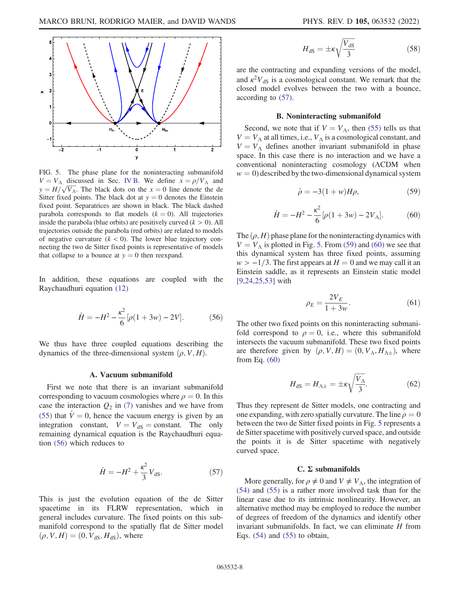<span id="page-7-2"></span>

FIG. 5. The phase plane for the noninteracting submanifold  $V = V_A$  discussed in Sec. [IV B.](#page-7-5) We define  $x = \rho/V_A$  and  $y = H/\sqrt{V_A}$ . The black dots on the  $x = 0$  line denote the de Sitter fixed points. The black dot at  $y = 0$  denotes the Einstein fixed point. Separatrices are shown in black. The black dashed parabola corresponds to flat models  $(k = 0)$ . All trajectories inside the parabola (blue orbits) are positively curved  $(k > 0)$ . All trajectories outside the parabola (red orbits) are related to models of negative curvature  $(k < 0)$ . The lower blue trajectory connecting the two de Sitter fixed points is representative of models that collapse to a bounce at  $y = 0$  then reexpand.

<span id="page-7-0"></span>In addition, these equations are coupled with the Raychaudhuri equation [\(12\)](#page-2-1)

$$
\dot{H} = -H^2 - \frac{\kappa^2}{6} [\rho (1 + 3w) - 2V].
$$
 (56)

We thus have three coupled equations describing the dynamics of the three-dimensional system  $(\rho, V, H)$ .

#### A. Vacuum submanifold

<span id="page-7-1"></span>First we note that there is an invariant submanifold corresponding to vacuum cosmologies where  $\rho = 0$ . In this case the interaction  $Q_2$  in [\(7\)](#page-1-8) vanishes and we have from [\(55\)](#page-6-4) that  $\dot{V} = 0$ , hence the vacuum energy is given by an integration constant,  $V = V_{dS} = \text{constant}$ . The only remaining dynamical equation is the Raychaudhuri equation [\(56\)](#page-7-0) which reduces to

$$
\dot{H} = -H^2 + \frac{\kappa^2}{3} V_{\text{dS}}.\tag{57}
$$

This is just the evolution equation of the de Sitter spacetime in its FLRW representation, which in general includes curvature. The fixed points on this submanifold correspond to the spatially flat de Sitter model  $(\rho, V, H) = (0, V_{dS}, H_{dS})$ , where

$$
H_{\rm dS} = \pm \kappa \sqrt{\frac{V_{\rm dS}}{3}}\tag{58}
$$

are the contracting and expanding versions of the model, and  $\kappa^2 V_{dS}$  is a cosmological constant. We remark that the closed model evolves between the two with a bounce, according to [\(57\).](#page-7-1)

#### B. Noninteracting submanifold

<span id="page-7-5"></span><span id="page-7-3"></span>Second, we note that if  $V = V<sub>A</sub>$ , then [\(55\)](#page-6-4) tells us that  $V = V_A$  at all times, i.e.,  $V_A$  is a cosmological constant, and  $V = V_A$  defines another invariant submanifold in phase space. In this case there is no interaction and we have a conventional noninteracting cosmology (ΛCDM when  $w = 0$ ) described by the two-dimensional dynamical system

$$
\dot{\rho} = -3(1+w)H\rho,\tag{59}
$$

$$
\dot{H} = -H^2 - \frac{\kappa^2}{6} [\rho (1 + 3w) - 2V_{\Lambda}].
$$
 (60)

<span id="page-7-7"></span><span id="page-7-4"></span>The  $(\rho, H)$  phase plane for the noninteracting dynamics with  $V = V_A$  is plotted in Fig. [5](#page-7-2). From [\(59\)](#page-7-3) and [\(60\)](#page-7-4) we see that this dynamical system has three fixed points, assuming  $w > -1/3$ . The first appears at  $H = 0$  and we may call it an Einstein saddle, as it represents an Einstein static model [\[9,](#page-12-23)[24](#page-12-14)[,25](#page-12-24)[,53\]](#page-13-8) with

$$
\rho_E = \frac{2V_E}{1 + 3w}.\tag{61}
$$

<span id="page-7-8"></span>The other two fixed points on this noninteracting submanifold correspond to  $\rho = 0$ , i.e., where this submanifold intersects the vacuum submanifold. These two fixed points are therefore given by  $(\rho, V, H) = (0, V_\Lambda, H_{\Lambda\pm})$ , where from Eq. [\(60\)](#page-7-4)

$$
H_{\rm dS} = H_{\Lambda \pm} = \pm \kappa \sqrt{\frac{V_{\Lambda}}{3}}.\tag{62}
$$

Thus they represent de Sitter models, one contracting and one expanding, with zero spatially curvature. The line  $\rho = 0$ between the two de Sitter fixed points in Fig. [5](#page-7-2) represents a de Sitter spacetime with positively curved space, and outside the points it is de Sitter spacetime with negatively curved space.

## C. Σ submanifolds

<span id="page-7-6"></span>More generally, for  $\rho \neq 0$  and  $V \neq V_{\Lambda}$ , the integration of [\(54\)](#page-6-5) and [\(55\)](#page-6-4) is a rather more involved task than for the linear case due to its intrinsic nonlinearity. However, an alternative method may be employed to reduce the number of degrees of freedom of the dynamics and identify other invariant submanifolds. In fact, we can eliminate  $H$  from Eqs.  $(54)$  and  $(55)$  to obtain,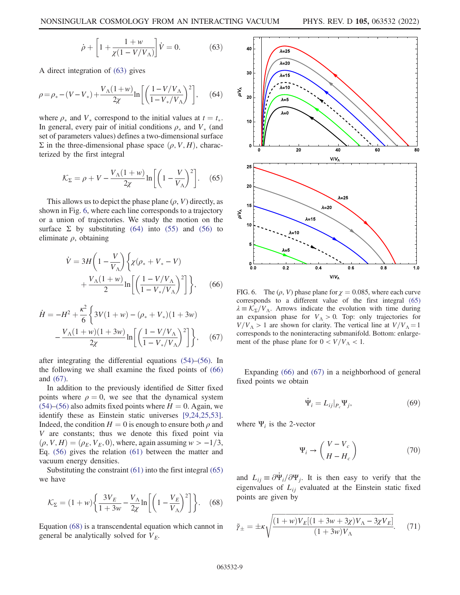$$
\dot{\rho} + \left[1 + \frac{1 + w}{\chi(1 - V/V_{\Lambda})}\right] \dot{V} = 0.
$$
 (63)

<span id="page-8-1"></span>A direct integration of [\(63\)](#page-7-6) gives

$$
\rho = \rho_* - (V - V_*) + \frac{V_{\Lambda}(1+w)}{2\chi} \ln \left[ \left( \frac{1 - V/V_{\Lambda}}{1 - V_*/V_{\Lambda}} \right)^2 \right],
$$
 (64)

<span id="page-8-4"></span>where  $\rho_*$  and  $V_*$  correspond to the initial values at  $t = t_*$ . In general, every pair of initial conditions  $\rho_*$  and  $V_*$  (and set of parameters values) defines a two-dimensional surface  $\Sigma$  in the three-dimensional phase space  $(\rho, V, H)$ , characterized by the first integral

$$
\mathcal{K}_{\Sigma} = \rho + V - \frac{V_{\Lambda}(1+w)}{2\chi} \ln \left[ \left( 1 - \frac{V}{V_{\Lambda}} \right)^2 \right].
$$
 (65)

<span id="page-8-2"></span>This allows us to depict the phase plane  $(\rho, V)$  directly, as shown in Fig. [6,](#page-8-0) where each line corresponds to a trajectory or a union of trajectories. We study the motion on the surface  $\Sigma$  by substituting [\(64\)](#page-8-1) into [\(55\)](#page-6-4) and [\(56\)](#page-7-0) to eliminate  $\rho$ , obtaining

$$
\dot{V} = 3H \left( 1 - \frac{V}{V_{\Lambda}} \right) \left\{ \chi(\rho_{*} + V_{*} - V) + \frac{V_{\Lambda} (1 + w)}{2} \ln \left[ \left( \frac{1 - V/V_{\Lambda}}{1 - V_{*}/V_{\Lambda}} \right)^{2} \right] \right\}, \quad (66)
$$

<span id="page-8-3"></span>
$$
\dot{H} = -H^2 + \frac{\kappa^2}{6} \left\{ 3V(1+w) - (\rho_* + V_*)(1+3w) - \frac{V_\Lambda(1+w)(1+3w)}{2\chi} \ln \left[ \left( \frac{1-V/V_\Lambda}{1-V_*/V_\Lambda} \right)^2 \right] \right\}, \quad (67)
$$

after integrating the differential equations [\(54\)](#page-6-5)–[\(56\)](#page-7-0). In the following we shall examine the fixed points of [\(66\)](#page-8-2) and [\(67\).](#page-8-3)

In addition to the previously identified de Sitter fixed points where  $\rho = 0$ , we see that the dynamical system  $(54)$ – $(56)$  also admits fixed points where  $H = 0$ . Again, we identify these as Einstein static universes [[9](#page-12-23)[,24](#page-12-14)[,25,](#page-12-24)[53](#page-13-8)]. Indeed, the condition  $H = 0$  is enough to ensure both  $\rho$  and V are constants; thus we denote this fixed point via  $(\rho, V, H) = (\rho_E, V_E, 0)$ , where, again assuming w > -1/3, Eq. [\(56\)](#page-7-0) gives the relation [\(61\)](#page-7-7) between the matter and vacuum energy densities.

<span id="page-8-5"></span>Substituting the constraint [\(61\)](#page-7-7) into the first integral [\(65\)](#page-8-4) we have

$$
\mathcal{K}_{\Sigma} = (1+w)\bigg\{\frac{3V_E}{1+3w} - \frac{V_{\Lambda}}{2\chi}\ln\bigg[\bigg(1-\frac{V_E}{V_{\Lambda}}\bigg)^2\bigg]\bigg\}.\tag{68}
$$

Equation [\(68\)](#page-8-5) is a transcendental equation which cannot in general be analytically solved for  $V_E$ .

<span id="page-8-0"></span>

FIG. 6. The  $(\rho, V)$  phase plane for  $\chi = 0.085$ , where each curve corresponds to a different value of the first integral [\(65\)](#page-8-4)  $\lambda = \mathcal{K}_{\Sigma}/V_{\Lambda}$ . Arrows indicate the evolution with time during an expansion phase for  $V_A > 0$ . Top: only trajectories for  $V/V_A > 1$  are shown for clarity. The vertical line at  $V/V_A = 1$ corresponds to the noninteracting submanifold. Bottom: enlargement of the phase plane for  $0 < V/V_A < 1$ .

Expanding [\(66\)](#page-8-2) and [\(67\)](#page-8-3) in a neighborhood of general fixed points we obtain

$$
\dot{\Psi}_i = L_{ij}|_{P_c} \Psi_j,\tag{69}
$$

where  $\Psi_i$  is the 2-vector

$$
\Psi_i \to \begin{pmatrix} V - V_c \\ H - H_c \end{pmatrix} \tag{70}
$$

<span id="page-8-6"></span>and  $L_{ij} \equiv \partial \Psi_i / \partial \Psi_j$ . It is then easy to verify that the eigenvalues of  $L_{ij}$  evaluated at the Einstein static fixed points are given by

$$
\tilde{\gamma}_{\pm} = \pm \kappa \sqrt{\frac{(1+w)V_E[(1+3w+3\chi)V_{\Lambda} - 3\chi V_E]}{(1+3w)V_{\Lambda}}}.
$$
 (71)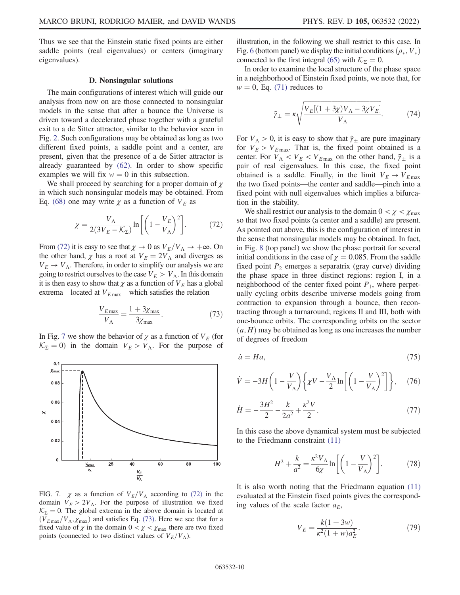Thus we see that the Einstein static fixed points are either saddle points (real eigenvalues) or centers (imaginary eigenvalues).

#### D. Nonsingular solutions

The main configurations of interest which will guide our analysis from now on are those connected to nonsingular models in the sense that after a bounce the Universe is driven toward a decelerated phase together with a grateful exit to a de Sitter attractor, similar to the behavior seen in Fig. [2](#page-5-0). Such configurations may be obtained as long as two different fixed points, a saddle point and a center, are present, given that the presence of a de Sitter attractor is already guaranteed by [\(62\)](#page-7-8). In order to show specific examples we will fix  $w = 0$  in this subsection.

<span id="page-9-0"></span>We shall proceed by searching for a proper domain of  $\chi$ in which such nonsingular models may be obtained. From Eq. [\(68\)](#page-8-5) one may write  $\chi$  as a function of  $V_E$  as

$$
\chi = \frac{V_{\Lambda}}{2(3V_{E} - \mathcal{K}_{\Sigma})} \ln \left[ \left( 1 - \frac{V_{E}}{V_{\Lambda}} \right)^{2} \right].
$$
 (72)

<span id="page-9-2"></span>From [\(72\)](#page-9-0) it is easy to see that  $\chi \to 0$  as  $V_E/V_A \to +\infty$ . On the other hand,  $\chi$  has a root at  $V_E = 2V_A$  and diverges as  $V_E \rightarrow V_A$ . Therefore, in order to simplify our analysis we are going to restrict ourselves to the case  $V_E > V_A$ . In this domain it is then easy to show that  $\chi$  as a function of  $V_E$  has a global extrema—located at  $V_{E \text{ max}}$ —which satisfies the relation

$$
\frac{V_{E\,\text{max}}}{V_{\Lambda}} = \frac{1 + 3\chi_{\text{max}}}{3\chi_{\text{max}}}.\tag{73}
$$

In Fig. [7](#page-9-1) we show the behavior of  $\chi$  as a function of  $V_F$  (for  $K_{\Sigma} = 0$ ) in the domain  $V_E > V_A$ . For the purpose of

<span id="page-9-1"></span>

FIG. 7.  $\chi$  as a function of  $V_E/V_A$  according to [\(72\)](#page-9-0) in the domain  $V_E > 2V_A$ . For the purpose of illustration we fixed  $K_{\Sigma} = 0$ . The global extrema in the above domain is located at  $(V_{E \max}/V_{A}, \chi_{\max})$  and satisfies Eq. [\(73\).](#page-9-2) Here we see that for a fixed value of  $\chi$  in the domain  $0 < \chi < \chi_{\text{max}}$  there are two fixed points (connected to two distinct values of  $V_E/V_A$ ).

illustration, in the following we shall restrict to this case. In Fig. [6](#page-8-0) (bottom panel) we display the initial conditions  $(\rho_*, V_*)$ connected to the first integral [\(65\)](#page-8-4) with  $\mathcal{K}_{\Sigma} = 0$ .

In order to examine the local structure of the phase space in a neighborhood of Einstein fixed points, we note that, for  $w = 0$ , Eq. [\(71\)](#page-8-6) reduces to

$$
\tilde{\gamma}_{\pm} = \kappa \sqrt{\frac{V_E[(1+3\chi)V_{\Lambda} - 3\chi V_E]}{V_{\Lambda}}}.\tag{74}
$$

For  $V_A > 0$ , it is easy to show that  $\tilde{\gamma}_{\pm}$  are pure imaginary for  $V_E > V_{E \text{max}}$ . That is, the fixed point obtained is a center. For  $V_A < V_E < V_{E \text{ max}}$  on the other hand,  $\tilde{\gamma}_{\pm}$  is a pair of real eigenvalues. In this case, the fixed point obtained is a saddle. Finally, in the limit  $V_E \rightarrow V_{E \text{ max}}$ the two fixed points—the center and saddle—pinch into a fixed point with null eigenvalues which implies a bifurcation in the stability.

We shall restrict our analysis to the domain  $0 < \chi < \chi_{\text{max}}$ so that two fixed points (a center and a saddle) are present. As pointed out above, this is the configuration of interest in the sense that nonsingular models may be obtained. In fact, in Fig. [8](#page-10-1) (top panel) we show the phase portrait for several initial conditions in the case of  $\gamma = 0.085$ . From the saddle fixed point  $P_2$  emerges a separatrix (gray curve) dividing the phase space in three distinct regions: region I, in a neighborhood of the center fixed point  $P_1$ , where perpetually cycling orbits describe universe models going from contraction to expansion through a bounce, then recontracting through a turnaround; regions II and III, both with one-bounce orbits. The corresponding orbits on the sector  $(a, H)$  may be obtained as long as one increases the number of degrees of freedom

$$
\dot{a} = Ha,\tag{75}
$$

$$
\dot{V} = -3H\left(1 - \frac{V}{V_{\Lambda}}\right)\left\{\chi V - \frac{V_{\Lambda}}{2}\ln\left[\left(1 - \frac{V}{V_{\Lambda}}\right)^{2}\right]\right\},\quad(76)
$$

$$
\dot{H} = -\frac{3H^2}{2} - \frac{k}{2a^2} + \frac{\kappa^2 V}{2}.
$$
\n(77)

In this case the above dynamical system must be subjected to the Friedmann constraint [\(11\)](#page-1-6)

$$
H^2 + \frac{k}{a^2} = \frac{\kappa^2 V_\Lambda}{6\chi} \ln \left[ \left( 1 - \frac{V}{V_\Lambda} \right)^2 \right].
$$
 (78)

<span id="page-9-3"></span>It is also worth noting that the Friedmann equation [\(11\)](#page-1-6) evaluated at the Einstein fixed points gives the corresponding values of the scale factor  $a_E$ ,

$$
V_E = \frac{k(1+3w)}{\kappa^2(1+w)a_E^2}.
$$
 (79)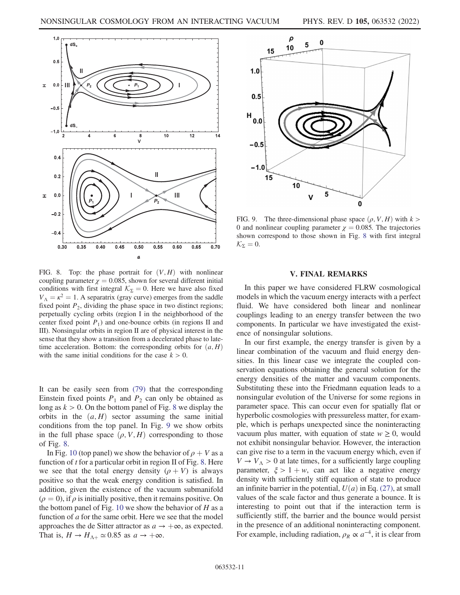<span id="page-10-1"></span>

FIG. 8. Top: the phase portrait for  $(V, H)$  with nonlinear coupling parameter  $\chi = 0.085$ , shown for several different initial conditions with first integral  $\mathcal{K}_{\Sigma} = 0$ . Here we have also fixed  $V_A = \kappa^2 = 1$ . A separatrix (gray curve) emerges from the saddle fixed point  $P_2$ , dividing the phase space in two distinct regions; perpetually cycling orbits (region I in the neighborhood of the center fixed point  $P_1$ ) and one-bounce orbits (in regions II and III). Nonsingular orbits in region II are of physical interest in the sense that they show a transition from a decelerated phase to latetime acceleration. Bottom: the corresponding orbits for  $(a, H)$ with the same initial conditions for the case  $k > 0$ .

It can be easily seen from [\(79\)](#page-9-3) that the corresponding Einstein fixed points  $P_1$  and  $P_2$  can only be obtained as long as  $k > 0$ . On the bottom panel of Fig. [8](#page-10-1) we display the orbits in the  $(a, H)$  sector assuming the same initial conditions from the top panel. In Fig. [9](#page-10-2) we show orbits in the full phase space  $(\rho, V, H)$  corresponding to those of Fig. [8.](#page-10-1)

In Fig. [10](#page-11-0) (top panel) we show the behavior of  $\rho + V$  as a function of  $t$  for a particular orbit in region II of Fig. [8](#page-10-1). Here we see that the total energy density  $(\rho + V)$  is always positive so that the weak energy condition is satisfied. In addition, given the existence of the vacuum submanifold  $(\rho = 0)$ , if  $\rho$  is initially positive, then it remains positive. On the bottom panel of Fig. [10](#page-11-0) we show the behavior of  $H$  as a function of  $a$  for the same orbit. Here we see that the model approaches the de Sitter attractor as  $a \rightarrow +\infty$ , as expected. That is,  $H \to H_{\Lambda+} \simeq 0.85$  as  $a \to +\infty$ .

<span id="page-10-2"></span>

FIG. 9. The three-dimensional phase space  $(\rho, V, H)$  with  $k >$ 0 and nonlinear coupling parameter  $\chi = 0.085$ . The trajectories shown correspond to those shown in Fig. [8](#page-10-1) with first integral  $\mathcal{K}_{\Sigma} = 0.$ 

## V. FINAL REMARKS

<span id="page-10-0"></span>In this paper we have considered FLRW cosmological models in which the vacuum energy interacts with a perfect fluid. We have considered both linear and nonlinear couplings leading to an energy transfer between the two components. In particular we have investigated the existence of nonsingular solutions.

In our first example, the energy transfer is given by a linear combination of the vacuum and fluid energy densities. In this linear case we integrate the coupled conservation equations obtaining the general solution for the energy densities of the matter and vacuum components. Substituting these into the Friedmann equation leads to a nonsingular evolution of the Universe for some regions in parameter space. This can occur even for spatially flat or hyperbolic cosmologies with pressureless matter, for example, which is perhaps unexpected since the noninteracting vacuum plus matter, with equation of state  $w \geq 0$ , would not exhibit nonsingular behavior. However, the interaction can give rise to a term in the vacuum energy which, even if  $V \rightarrow V_A > 0$  at late times, for a sufficiently large coupling parameter,  $\xi > 1 + w$ , can act like a negative energy density with sufficiently stiff equation of state to produce an infinite barrier in the potential,  $U(a)$  in Eq. [\(27\)](#page-3-4), at small values of the scale factor and thus generate a bounce. It is interesting to point out that if the interaction term is sufficiently stiff, the barrier and the bounce would persist in the presence of an additional noninteracting component. For example, including radiation,  $\rho_R \propto a^{-4}$ , it is clear from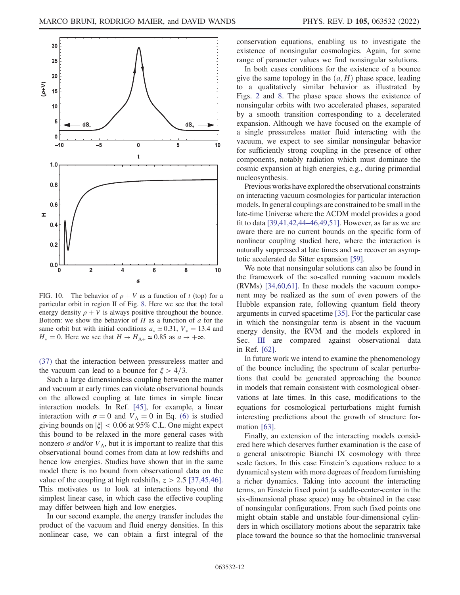

<span id="page-11-0"></span>

FIG. 10. The behavior of  $\rho + V$  as a function of t (top) for a particular orbit in region II of Fig. [8.](#page-10-1) Here we see that the total energy density  $\rho + V$  is always positive throughout the bounce. Bottom: we show the behavior of  $H$  as a function of  $\alpha$  for the same orbit but with initial conditions  $a_* \approx 0.31$ ,  $V_* = 13.4$  and  $H_* = 0$ . Here we see that  $H \to H_{\Lambda+} \simeq 0.85$  as  $a \to +\infty$ .

[\(37\)](#page-4-2) that the interaction between pressureless matter and the vacuum can lead to a bounce for  $\xi > 4/3$ .

Such a large dimensionless coupling between the matter and vacuum at early times can violate observational bounds on the allowed coupling at late times in simple linear interaction models. In Ref. [[45](#page-13-1)], for example, a linear interaction with  $\sigma = 0$  and  $V_A = 0$  in Eq. [\(6\)](#page-1-7) is studied giving bounds on  $|\xi|$  < 0.06 at 95% C.L. One might expect this bound to be relaxed in the more general cases with nonzero  $\sigma$  and/or  $V_{\Lambda}$ , but it is important to realize that this observational bound comes from data at low redshifts and hence low energies. Studies have shown that in the same model there is no bound from observational data on the value of the coupling at high redshifts,  $z > 2.5$  [\[37](#page-12-21)[,45,](#page-13-1)[46](#page-13-2)]. This motivates us to look at interactions beyond the simplest linear case, in which case the effective coupling may differ between high and low energies.

In our second example, the energy transfer includes the product of the vacuum and fluid energy densities. In this nonlinear case, we can obtain a first integral of the conservation equations, enabling us to investigate the existence of nonsingular cosmologies. Again, for some range of parameter values we find nonsingular solutions.

In both cases conditions for the existence of a bounce give the same topology in the  $(a, H)$  phase space, leading to a qualitatively similar behavior as illustrated by Figs. [2](#page-5-0) and [8](#page-10-1). The phase space shows the existence of nonsingular orbits with two accelerated phases, separated by a smooth transition corresponding to a decelerated expansion. Although we have focused on the example of a single pressureless matter fluid interacting with the vacuum, we expect to see similar nonsingular behavior for sufficiently strong coupling in the presence of other components, notably radiation which must dominate the cosmic expansion at high energies, e.g., during primordial nucleosynthesis.

Previous works have explored the observational constraints on interacting vacuum cosmologies for particular interaction models. In general couplings are constrained to be small in the late-time Universe where the ΛCDM model provides a good fit to data [\[39](#page-12-22),[41](#page-13-14)[,42](#page-13-15)[,44](#page-13-4)–[46](#page-13-2)[,49](#page-13-0)[,51](#page-13-6)]. However, as far as we are aware there are no current bounds on the specific form of nonlinear coupling studied here, where the interaction is naturally suppressed at late times and we recover an asymptotic accelerated de Sitter expansion [[59\]](#page-13-16).

We note that nonsingular solutions can also be found in the framework of the so-called running vacuum models (RVMs) [\[34](#page-12-25)[,60](#page-13-17)[,61\]](#page-13-18). In these models the vacuum component may be realized as the sum of even powers of the Hubble expansion rate, following quantum field theory arguments in curved spacetime [\[35\]](#page-12-19). For the particular case in which the nonsingular term is absent in the vacuum energy density, the RVM and the models explored in Sec. [III](#page-2-0) are compared against observational data in Ref. [\[62\]](#page-13-19).

In future work we intend to examine the phenomenology of the bounce including the spectrum of scalar perturbations that could be generated approaching the bounce in models that remain consistent with cosmological observations at late times. In this case, modifications to the equations for cosmological perturbations might furnish interesting predictions about the growth of structure formation [[63](#page-13-20)].

Finally, an extension of the interacting models considered here which deserves further examination is the case of a general anisotropic Bianchi IX cosmology with three scale factors. In this case Einstein's equations reduce to a dynamical system with more degrees of freedom furnishing a richer dynamics. Taking into account the interacting terms, an Einstein fixed point (a saddle-center-center in the six-dimensional phase space) may be obtained in the case of nonsingular configurations. From such fixed points one might obtain stable and unstable four-dimensional cylinders in which oscillatory motions about the separatrix take place toward the bounce so that the homoclinic transversal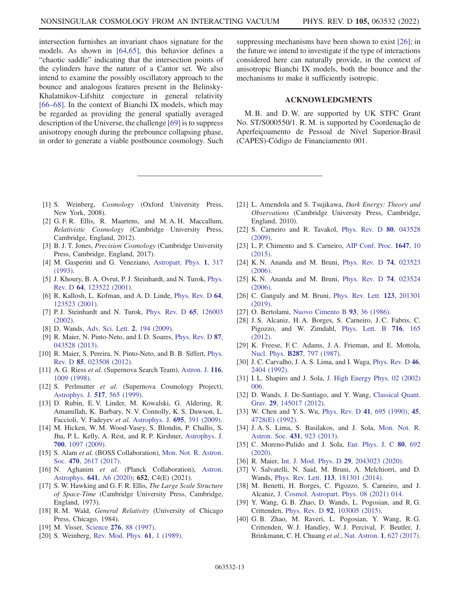intersection furnishes an invariant chaos signature for the models. As shown in [\[64](#page-13-21)[,65\]](#page-13-22), this behavior defines a "chaotic saddle" indicating that the intersection points of the cylinders have the nature of a Cantor set. We also intend to examine the possibly oscillatory approach to the bounce and analogous features present in the Belinsky-Khalatnikov-Lifshitz conjecture in general relativity [\[66](#page-13-23)–[68\]](#page-13-24). In the context of Bianchi IX models, which may be regarded as providing the general spatially averaged description of the Universe, the challenge [[69](#page-13-25)] is to suppress anisotropy enough during the prebounce collapsing phase, in order to generate a viable postbounce cosmology. Such

suppressing mechanisms have been shown to exist [\[26\]](#page-12-15); in the future we intend to investigate if the type of interactions considered here can naturally provide, in the context of anisotropic Bianchi IX models, both the bounce and the mechanisms to make it sufficiently isotropic.

## ACKNOWLEDGMENTS

M. B. and D. W. are supported by UK STFC Grant No. ST/S000550/1. R. M. is supported by Coordenação de Aperfeiçoamento de Pessoal de Nível Superior-Brasil (CAPES)-Código de Financiamento 001.

- <span id="page-12-0"></span>[1] S. Weinberg, Cosmology (Oxford University Press, New York, 2008).
- <span id="page-12-6"></span>[2] G. F. R. Ellis, R. Maartens, and M. A. H. Maccallum, Relativistic Cosmology (Cambridge University Press, Cambridge, England, 2012).
- <span id="page-12-1"></span>[3] B. J. T. Jones, Precision Cosmology (Cambridge University Press, Cambridge, England, 2017).
- <span id="page-12-2"></span>[4] M. Gasperini and G. Veneziano, [Astropart. Phys.](https://doi.org/10.1016/0927-6505(93)90017-8) 1, 317 [\(1993\).](https://doi.org/10.1016/0927-6505(93)90017-8)
- [5] J. Khoury, B. A. Ovrut, P. J. Steinhardt, and N. Turok, [Phys.](https://doi.org/10.1103/PhysRevD.64.123522) Rev. D 64[, 123522 \(2001\)](https://doi.org/10.1103/PhysRevD.64.123522).
- [6] R. Kallosh, L. Kofman, and A. D. Linde, [Phys. Rev. D](https://doi.org/10.1103/PhysRevD.64.123523) 64, [123523 \(2001\).](https://doi.org/10.1103/PhysRevD.64.123523)
- [7] P.J. Steinhardt and N. Turok, [Phys. Rev. D](https://doi.org/10.1103/PhysRevD.65.126003) 65, 126003 [\(2002\).](https://doi.org/10.1103/PhysRevD.65.126003)
- [8] D. Wands, [Adv. Sci. Lett.](https://doi.org/10.1166/asl.2009.1026) 2, 194 (2009).
- <span id="page-12-23"></span>[9] R. Maier, N. Pinto-Neto, and I. D. Soares, [Phys. Rev. D](https://doi.org/10.1103/PhysRevD.87.043528) 87, [043528 \(2013\).](https://doi.org/10.1103/PhysRevD.87.043528)
- <span id="page-12-3"></span>[10] R. Maier, S. Pereira, N. Pinto-Neto, and B. B. Siffert, [Phys.](https://doi.org/10.1103/PhysRevD.85.023508) Rev. D 85[, 023508 \(2012\)](https://doi.org/10.1103/PhysRevD.85.023508).
- <span id="page-12-4"></span>[11] A. G. Riess et al. (Supernova Search Team), [Astron. J.](https://doi.org/10.1086/300499) 116, [1009 \(1998\)](https://doi.org/10.1086/300499).
- [12] S. Perlmutter *et al.* (Supernova Cosmology Project), [Astrophys. J.](https://doi.org/10.1086/307221) 517, 565 (1999).
- [13] D. Rubin, E. V. Linder, M. Kowalski, G. Aldering, R. Amanullah, K. Barbary, N. V. Connolly, K. S. Dawson, L. Faccioli, V. Fadeyev et al. [Astrophys. J.](https://doi.org/10.1088/0004-637X/695/1/391) 695, 391 (2009).
- [14] M. Hicken, W. M. Wood-Vasey, S. Blondin, P. Challis, S. Jha, P. L. Kelly, A. Rest, and R. P. Kirshner, [Astrophys. J.](https://doi.org/10.1088/0004-637X/700/2/1097) 700[, 1097 \(2009\)](https://doi.org/10.1088/0004-637X/700/2/1097).
- [15] S. Alam et al. (BOSS Collaboration), [Mon. Not. R. Astron.](https://doi.org/10.1093/mnras/stx721) Soc. 470[, 2617 \(2017\)](https://doi.org/10.1093/mnras/stx721).
- <span id="page-12-5"></span>[16] N. Aghanim et al. (Planck Collaboration), [Astron.](https://doi.org/10.1051/0004-6361/201833910) Astrophys. 641[, A6 \(2020\)](https://doi.org/10.1051/0004-6361/201833910); 652, C4(E) (2021).
- <span id="page-12-7"></span>[17] S. W. Hawking and G. F. R. Ellis, *The Large Scale Structure* of Space-Time (Cambridge University Press, Cambridge, England, 1973).
- <span id="page-12-11"></span>[18] R. M. Wald, General Relativity (University of Chicago Press, Chicago, 1984).
- <span id="page-12-9"></span><span id="page-12-8"></span>[19] M. Visser, Science 276[, 88 \(1997\)](https://doi.org/10.1126/science.276.5309.88).
- [20] S. Weinberg, [Rev. Mod. Phys.](https://doi.org/10.1103/RevModPhys.61.1) **61**, 1 (1989).
- <span id="page-12-10"></span>[21] L. Amendola and S. Tsujikawa, *Dark Energy: Theory and* Observations (Cambridge University Press, Cambridge, England, 2010).
- <span id="page-12-12"></span>[22] S. Carneiro and R. Tavakol, [Phys. Rev. D](https://doi.org/10.1103/PhysRevD.80.043528) 80, 043528 [\(2009\).](https://doi.org/10.1103/PhysRevD.80.043528)
- <span id="page-12-13"></span>[23] L. P. Chimento and S. Carneiro, [AIP Conf. Proc.](https://doi.org/10.1063/1.4913329) 1647, 10 [\(2015\).](https://doi.org/10.1063/1.4913329)
- <span id="page-12-14"></span>[24] K. N. Ananda and M. Bruni, [Phys. Rev. D](https://doi.org/10.1103/PhysRevD.74.023523) 74, 023523 [\(2006\).](https://doi.org/10.1103/PhysRevD.74.023523)
- <span id="page-12-24"></span>[25] K. N. Ananda and M. Bruni, [Phys. Rev. D](https://doi.org/10.1103/PhysRevD.74.023524) **74**, 023524 [\(2006\).](https://doi.org/10.1103/PhysRevD.74.023524)
- <span id="page-12-15"></span>[26] C. Ganguly and M. Bruni, [Phys. Rev. Lett.](https://doi.org/10.1103/PhysRevLett.123.201301) **123**, 201301 [\(2019\).](https://doi.org/10.1103/PhysRevLett.123.201301)
- <span id="page-12-16"></span>[27] O. Bertolami, [Nuovo Cimento B](https://doi.org/10.1007/BF02728301) 93, 36 (1986).
- [28] J. S. Alcaniz, H. A. Borges, S. Carneiro, J. C. Fabris, C. Pigozzo, and W. Zimdahl, [Phys. Lett. B](https://doi.org/10.1016/j.physletb.2012.08.014) 716, 165 [\(2012\).](https://doi.org/10.1016/j.physletb.2012.08.014)
- [29] K. Freese, F.C. Adams, J.A. Frieman, and E. Mottola, Nucl. Phys. B287[, 797 \(1987\).](https://doi.org/10.1016/0550-3213(87)90129-5)
- [30] J. C. Carvalho, J. A. S. Lima, and I. Waga, [Phys. Rev. D](https://doi.org/10.1103/PhysRevD.46.2404) 46, [2404 \(1992\)](https://doi.org/10.1103/PhysRevD.46.2404).
- [31] I.L. Shapiro and J. Sola, [J. High Energy Phys. 02 \(2002\)](https://doi.org/10.1088/1126-6708/2002/02/006) [006.](https://doi.org/10.1088/1126-6708/2002/02/006)
- <span id="page-12-17"></span>[32] D. Wands, J. De-Santiago, and Y. Wang, [Classical Quant.](https://doi.org/10.1088/0264-9381/29/14/145017) Grav. 29[, 145017 \(2012\).](https://doi.org/10.1088/0264-9381/29/14/145017)
- <span id="page-12-18"></span>[33] W. Chen and Y. S. Wu, [Phys. Rev. D](https://doi.org/10.1103/PhysRevD.41.695) 41, 695 (1990); [45](https://doi.org/10.1103/PhysRevD.45.4728), [4728\(E\) \(1992\)](https://doi.org/10.1103/PhysRevD.45.4728).
- <span id="page-12-25"></span>[34] J. A. S. Lima, S. Basilakos, and J. Sola, [Mon. Not. R.](https://doi.org/10.1093/mnras/stt220) Astron. Soc. 431[, 923 \(2013\).](https://doi.org/10.1093/mnras/stt220)
- <span id="page-12-19"></span>[35] C. Moreno-Pulido and J. Sola, [Eur. Phys. J. C](https://doi.org/10.1140/epjc/s10052-020-8238-6) 80, 692 [\(2020\).](https://doi.org/10.1140/epjc/s10052-020-8238-6)
- <span id="page-12-21"></span><span id="page-12-20"></span>[36] R. Maier, [Int. J. Mod. Phys. D](https://doi.org/10.1142/S0218271820430233) 29, 2043023 (2020).
- [37] V. Salvatelli, N. Said, M. Bruni, A. Melchiorri, and D. Wands, Phys. Rev. Lett. 113[, 181301 \(2014\)](https://doi.org/10.1103/PhysRevLett.113.181301).
- [38] M. Benetti, H. Borges, C. Pigozzo, S. Carneiro, and J. Alcaniz, [J. Cosmol. Astropart. Phys. 08 \(2021\) 014.](https://doi.org/10.1088/1475-7516/2021/08/014)
- <span id="page-12-22"></span>[39] Y. Wang, G. B. Zhao, D. Wands, L. Pogosian, and R. G. Crittenden, Phys. Rev. D 92[, 103005 \(2015\).](https://doi.org/10.1103/PhysRevD.92.103005)
- [40] G. B. Zhao, M. Raveri, L. Pogosian, Y. Wang, R. G. Crittenden, W. J. Handley, W. J. Percival, F. Beutler, J. Brinkmann, C. H. Chuang et al., Nat. Astron. 1[, 627 \(2017\).](https://doi.org/10.1038/s41550-017-0216-z)